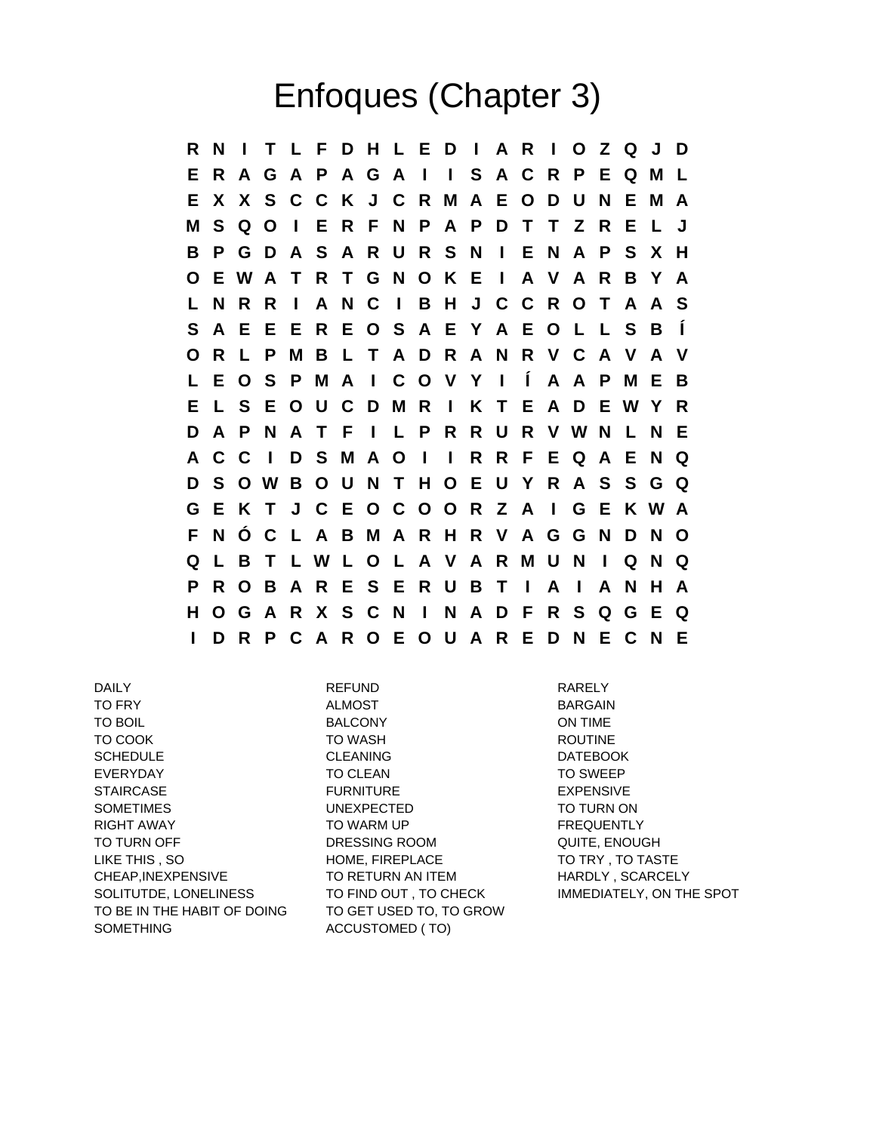## Enfoques (Chapter 3)

**R N I T L F D H L E D I A R I O Z Q J D E R A G A P A G A I I S A C R P E Q M L E X X S C C K J C R M A E O D U N E M A M S Q O I E R F N P A P D T T Z R E L J B P G D A S A R U R S N I E N A P S X H O E W A T R T G N O K E I A V A R B Y A L N R R I A N C I B H J C C R O T A A S S A E E E R E O S A E Y A E O L L S B Í O R L P M B L T A D R A N R V C A V A V L E O S P M A I C O V Y I Í A A P M E B E L S E O U C D M R I K T E A D E W Y R D A P N A T F I L P R R U R V W N L N E A C C I D S M A O I I R R F E Q A E N Q D S O W B O U N T H O E U Y R A S S G Q G E K T J C E O C O O R Z A I G E K W A F N Ó C L A B M A R H R V A G G N D N O Q L B T L W L O L A V A R M U N I Q N Q P R O B A R E S E R U B T I A I A N H A H O G A R X S C N I N A D F R S Q G E Q I D R P C A R O E O U A R E D N E C N E**

DAILY REFUND RARELY TO FRY ALMOST BARGAIN TO BOIL **EXECUTE IN BALCONY CONSIDER BALCONY CONTIME** TO COOK TO WASH TO WASH ROUTINE SCHEDULE CLEANING DATEBOOK EVERYDAY TO CLEAN TO SWEEP STAIRCASE FURNITURE EXPENSIVE SOMETIMES UNEXPECTED TO TURN ON RIGHT AWAY **TO WARM UP FREQUENTLY** TO TURN OFF **DRESSING ROOM** QUITE, ENOUGH LIKE THIS , SO **HOME, FIREPLACE** TO TRY , TO TASTE CHEAP, INEXPENSIVE TO RETURN AN ITEM HARDLY, SCARCELY SOLITUTDE, LONELINESS TO FIND OUT, TO CHECK IMMEDIATELY, ON THE SPOT TO BE IN THE HABIT OF DOING SOMETHING

TO GET USED TO, TO GROW ACCUSTOMED ( TO)